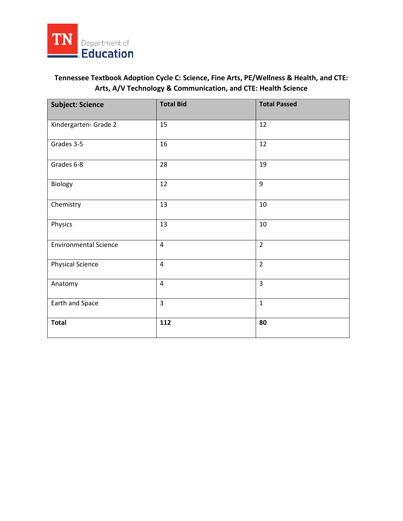

## **Tennessee Textbook Adoption Cycle C: Science, Fine Arts, PE/Wellness & Health, and CTE: Arts, A/V Technology & Communication, and CTE: Health Science**

| <b>Subject: Science</b>      | <b>Total Bid</b> | <b>Total Passed</b> |
|------------------------------|------------------|---------------------|
| Kindergarten- Grade 2        | 15               | 12                  |
| Grades 3-5                   | 16               | 12                  |
| Grades 6-8                   | 28               | 19                  |
| Biology                      | 12               | 9                   |
| Chemistry                    | 13               | $10\,$              |
| Physics                      | 13               | 10                  |
| <b>Environmental Science</b> | $\overline{4}$   | $\overline{2}$      |
| <b>Physical Science</b>      | $\overline{4}$   | $\overline{2}$      |
| Anatomy                      | $\overline{4}$   | $\overline{3}$      |
| Earth and Space              | 3                | $\mathbf{1}$        |
| <b>Total</b>                 | 112              | 80                  |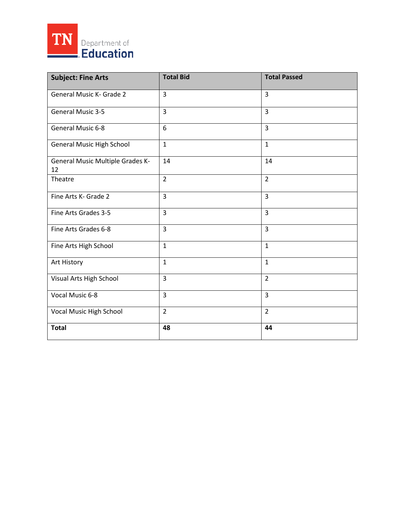

| <b>Subject: Fine Arts</b>                     | <b>Total Bid</b> | <b>Total Passed</b> |
|-----------------------------------------------|------------------|---------------------|
| General Music K- Grade 2                      | 3                | $\overline{3}$      |
| <b>General Music 3-5</b>                      | 3                | $\overline{3}$      |
| General Music 6-8                             | 6                | $\overline{3}$      |
| <b>General Music High School</b>              | $\mathbf{1}$     | $\mathbf{1}$        |
| <b>General Music Multiple Grades K-</b><br>12 | 14               | 14                  |
| Theatre                                       | $\overline{2}$   | $\overline{2}$      |
| Fine Arts K- Grade 2                          | 3                | $\overline{3}$      |
| Fine Arts Grades 3-5                          | 3                | $\overline{3}$      |
| Fine Arts Grades 6-8                          | 3                | $\overline{3}$      |
| Fine Arts High School                         | $\mathbf{1}$     | $\mathbf{1}$        |
| Art History                                   | $\mathbf{1}$     | $\mathbf 1$         |
| Visual Arts High School                       | 3                | $\overline{2}$      |
| Vocal Music 6-8                               | 3                | $\overline{3}$      |
| Vocal Music High School                       | $\overline{2}$   | $\overline{2}$      |
| <b>Total</b>                                  | 48               | 44                  |